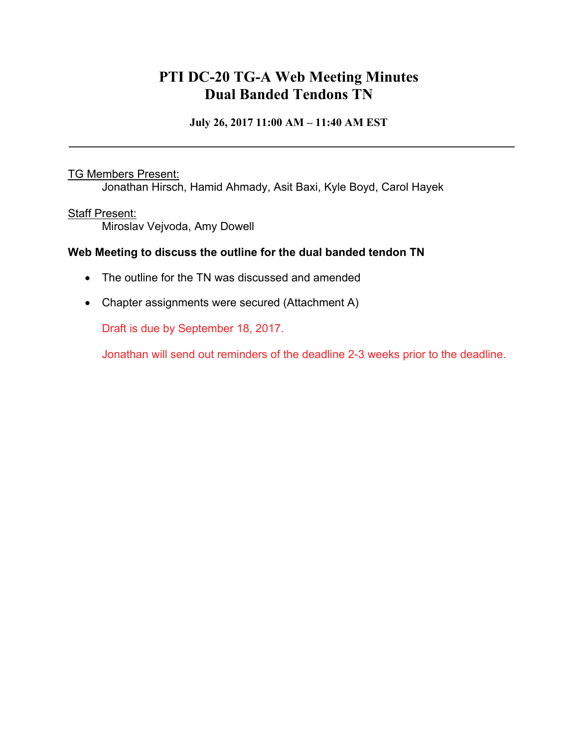## **PTI DC-20 TG-A Web Meeting Minutes Dual Banded Tendons TN**

**July 26, 2017 11:00 AM – 11:40 AM EST** 

#### TG Members Present:

Jonathan Hirsch, Hamid Ahmady, Asit Baxi, Kyle Boyd, Carol Hayek

#### Staff Present:

Miroslav Vejvoda, Amy Dowell

### **Web Meeting to discuss the outline for the dual banded tendon TN**

- The outline for the TN was discussed and amended
- Chapter assignments were secured (Attachment A)

Draft is due by September 18, 2017.

Jonathan will send out reminders of the deadline 2-3 weeks prior to the deadline.